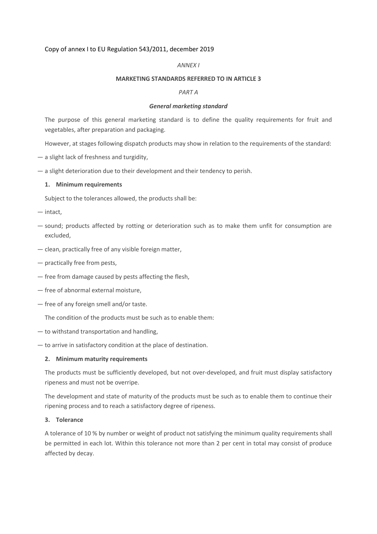## Copy of annex I to EU Regulation 543/2011, december 2019

#### *ANNEX I*

#### **MARKETING STANDARDS REFERRED TO IN ARTICLE 3**

#### *PART A*

#### *General marketing standard*

The purpose of this general marketing standard is to define the quality requirements for fruit and vegetables, after preparation and packaging.

However, at stages following dispatch products may show in relation to the requirements of the standard:

- a slight lack of freshness and turgidity,
- a slight deterioration due to their development and their tendency to perish.

## **1. Minimum requirements**

Subject to the tolerances allowed, the products shall be:

- intact,
- sound; products affected by rotting or deterioration such as to make them unfit for consumption are excluded,
- clean, practically free of any visible foreign matter,
- practically free from pests,
- free from damage caused by pests affecting the flesh,
- free of abnormal external moisture,
- free of any foreign smell and/or taste.

The condition of the products must be such as to enable them:

- to withstand transportation and handling,
- to arrive in satisfactory condition at the place of destination.

#### **2. Minimum maturity requirements**

The products must be sufficiently developed, but not over-developed, and fruit must display satisfactory ripeness and must not be overripe.

The development and state of maturity of the products must be such as to enable them to continue their ripening process and to reach a satisfactory degree of ripeness.

#### **3. Tolerance**

A tolerance of 10 % by number or weight of product not satisfying the minimum quality requirements shall be permitted in each lot. Within this tolerance not more than 2 per cent in total may consist of produce affected by decay.